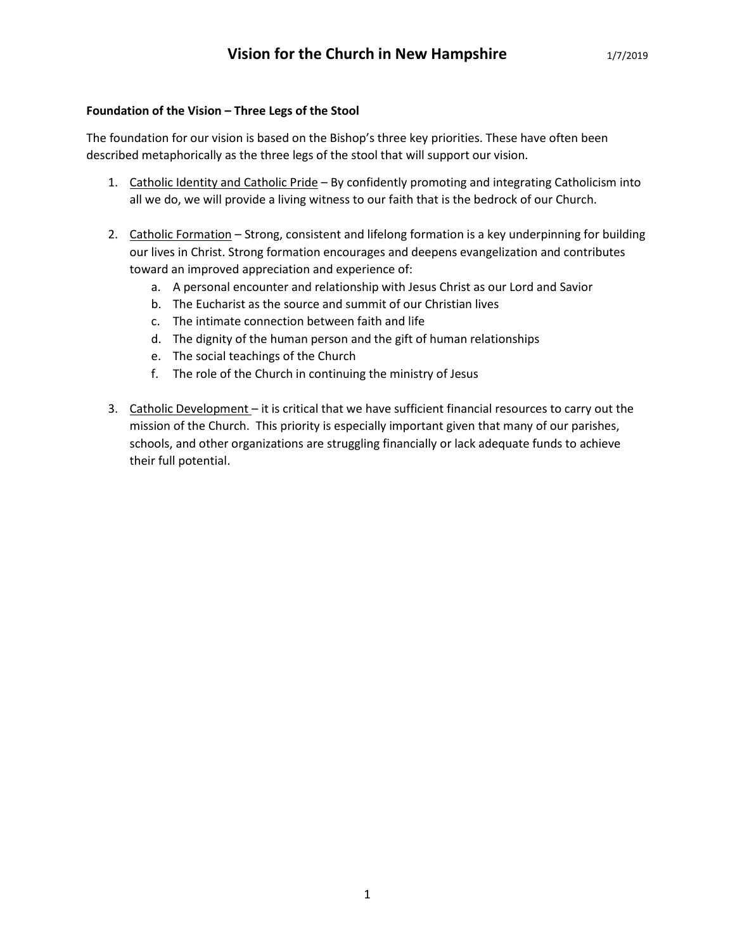## **Foundation of the Vision – Three Legs of the Stool**

The foundation for our vision is based on the Bishop's three key priorities. These have often been described metaphorically as the three legs of the stool that will support our vision.

- 1. Catholic Identity and Catholic Pride By confidently promoting and integrating Catholicism into all we do, we will provide a living witness to our faith that is the bedrock of our Church.
- 2. Catholic Formation Strong, consistent and lifelong formation is a key underpinning for building our lives in Christ. Strong formation encourages and deepens evangelization and contributes toward an improved appreciation and experience of:
	- a. A personal encounter and relationship with Jesus Christ as our Lord and Savior
	- b. The Eucharist as the source and summit of our Christian lives
	- c. The intimate connection between faith and life
	- d. The dignity of the human person and the gift of human relationships
	- e. The social teachings of the Church
	- f. The role of the Church in continuing the ministry of Jesus
- 3. Catholic Development it is critical that we have sufficient financial resources to carry out the mission of the Church. This priority is especially important given that many of our parishes, schools, and other organizations are struggling financially or lack adequate funds to achieve their full potential.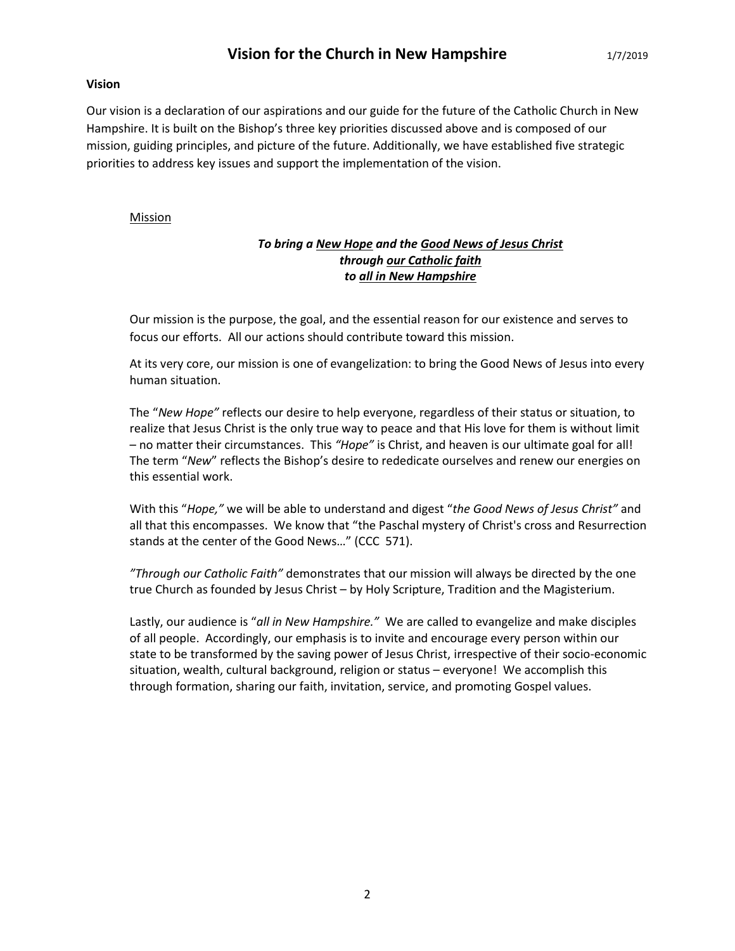#### **Vision**

Our vision is a declaration of our aspirations and our guide for the future of the Catholic Church in New Hampshire. It is built on the Bishop's three key priorities discussed above and is composed of our mission, guiding principles, and picture of the future. Additionally, we have established five strategic priorities to address key issues and support the implementation of the vision.

## **Mission**

# *To bring a New Hope and the Good News of Jesus Christ through our Catholic faith to all in New Hampshire*

Our mission is the purpose, the goal, and the essential reason for our existence and serves to focus our efforts. All our actions should contribute toward this mission.

At its very core, our mission is one of evangelization: to bring the Good News of Jesus into every human situation.

The "*New Hope"* reflects our desire to help everyone, regardless of their status or situation, to realize that Jesus Christ is the only true way to peace and that His love for them is without limit – no matter their circumstances. This *"Hope"* is Christ, and heaven is our ultimate goal for all! The term "*New*" reflects the Bishop's desire to rededicate ourselves and renew our energies on this essential work.

With this "*Hope,"* we will be able to understand and digest "*the Good News of Jesus Christ"* and all that this encompasses. We know that "the Paschal mystery of Christ's cross and Resurrection stands at the center of the Good News…" (CCC 571).

*"Through our Catholic Faith"* demonstrates that our mission will always be directed by the one true Church as founded by Jesus Christ – by Holy Scripture, Tradition and the Magisterium.

Lastly, our audience is "*all in New Hampshire."* We are called to evangelize and make disciples of all people. Accordingly, our emphasis is to invite and encourage every person within our state to be transformed by the saving power of Jesus Christ, irrespective of their socio-economic situation, wealth, cultural background, religion or status – everyone! We accomplish this through formation, sharing our faith, invitation, service, and promoting Gospel values.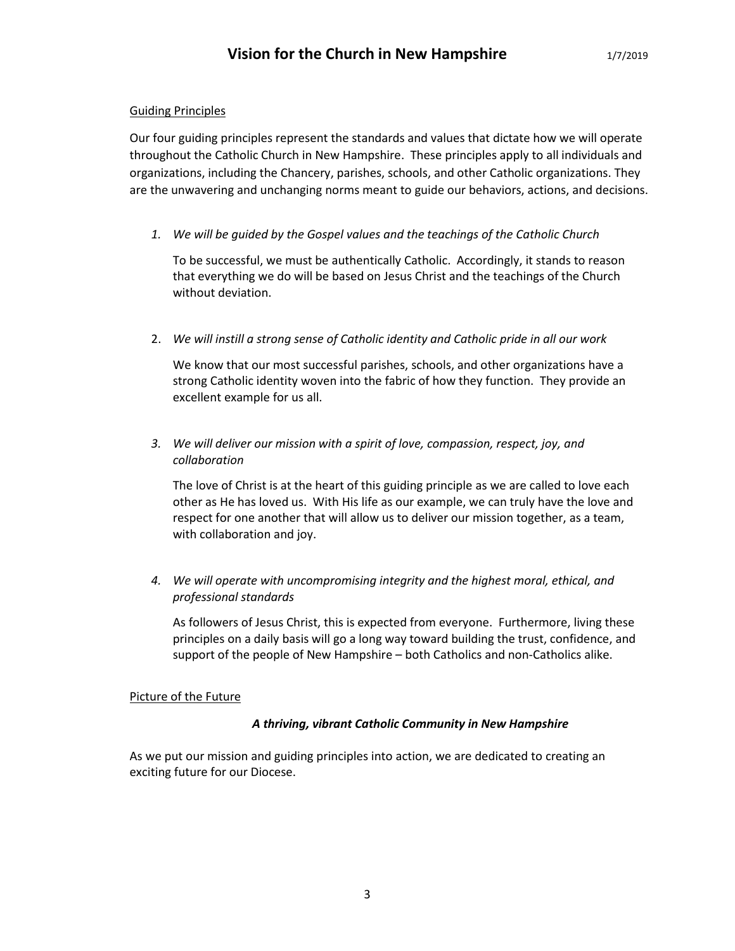## Guiding Principles

Our four guiding principles represent the standards and values that dictate how we will operate throughout the Catholic Church in New Hampshire. These principles apply to all individuals and organizations, including the Chancery, parishes, schools, and other Catholic organizations. They are the unwavering and unchanging norms meant to guide our behaviors, actions, and decisions.

*1. We will be guided by the Gospel values and the teachings of the Catholic Church*

To be successful, we must be authentically Catholic. Accordingly, it stands to reason that everything we do will be based on Jesus Christ and the teachings of the Church without deviation.

2. *We will instill a strong sense of Catholic identity and Catholic pride in all our work*

We know that our most successful parishes, schools, and other organizations have a strong Catholic identity woven into the fabric of how they function. They provide an excellent example for us all.

*3. We will deliver our mission with a spirit of love, compassion, respect, joy, and collaboration*

The love of Christ is at the heart of this guiding principle as we are called to love each other as He has loved us. With His life as our example, we can truly have the love and respect for one another that will allow us to deliver our mission together, as a team, with collaboration and joy.

*4. We will operate with uncompromising integrity and the highest moral, ethical, and professional standards*

As followers of Jesus Christ, this is expected from everyone. Furthermore, living these principles on a daily basis will go a long way toward building the trust, confidence, and support of the people of New Hampshire – both Catholics and non-Catholics alike.

#### Picture of the Future

#### *A thriving, vibrant Catholic Community in New Hampshire*

As we put our mission and guiding principles into action, we are dedicated to creating an exciting future for our Diocese.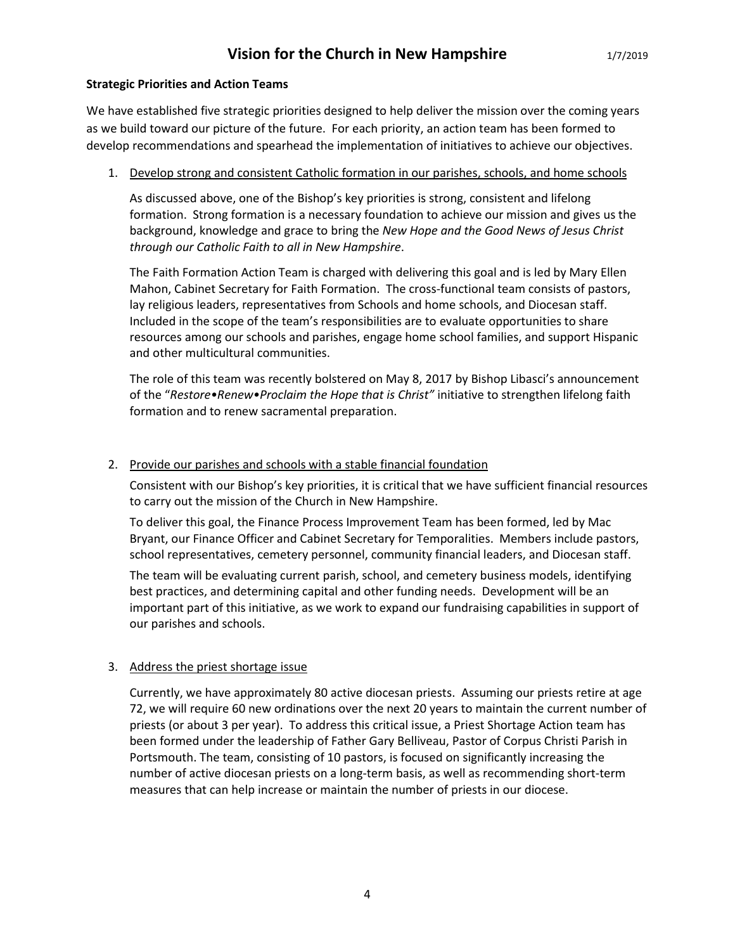#### **Strategic Priorities and Action Teams**

We have established five strategic priorities designed to help deliver the mission over the coming years as we build toward our picture of the future. For each priority, an action team has been formed to develop recommendations and spearhead the implementation of initiatives to achieve our objectives.

## 1. Develop strong and consistent Catholic formation in our parishes, schools, and home schools

As discussed above, one of the Bishop's key priorities is strong, consistent and lifelong formation. Strong formation is a necessary foundation to achieve our mission and gives us the background, knowledge and grace to bring the *New Hope and the Good News of Jesus Christ through our Catholic Faith to all in New Hampshire*.

The Faith Formation Action Team is charged with delivering this goal and is led by Mary Ellen Mahon, Cabinet Secretary for Faith Formation. The cross-functional team consists of pastors, lay religious leaders, representatives from Schools and home schools, and Diocesan staff. Included in the scope of the team's responsibilities are to evaluate opportunities to share resources among our schools and parishes, engage home school families, and support Hispanic and other multicultural communities.

The role of this team was recently bolstered on May 8, 2017 by Bishop Libasci's announcement of the "*Restore•Renew•Proclaim the Hope that is Christ"* initiative to strengthen lifelong faith formation and to renew sacramental preparation.

# 2. Provide our parishes and schools with a stable financial foundation

Consistent with our Bishop's key priorities, it is critical that we have sufficient financial resources to carry out the mission of the Church in New Hampshire.

To deliver this goal, the Finance Process Improvement Team has been formed, led by Mac Bryant, our Finance Officer and Cabinet Secretary for Temporalities. Members include pastors, school representatives, cemetery personnel, community financial leaders, and Diocesan staff.

The team will be evaluating current parish, school, and cemetery business models, identifying best practices, and determining capital and other funding needs. Development will be an important part of this initiative, as we work to expand our fundraising capabilities in support of our parishes and schools.

# 3. Address the priest shortage issue

Currently, we have approximately 80 active diocesan priests. Assuming our priests retire at age 72, we will require 60 new ordinations over the next 20 years to maintain the current number of priests (or about 3 per year). To address this critical issue, a Priest Shortage Action team has been formed under the leadership of Father Gary Belliveau, Pastor of Corpus Christi Parish in Portsmouth. The team, consisting of 10 pastors, is focused on significantly increasing the number of active diocesan priests on a long-term basis, as well as recommending short-term measures that can help increase or maintain the number of priests in our diocese.